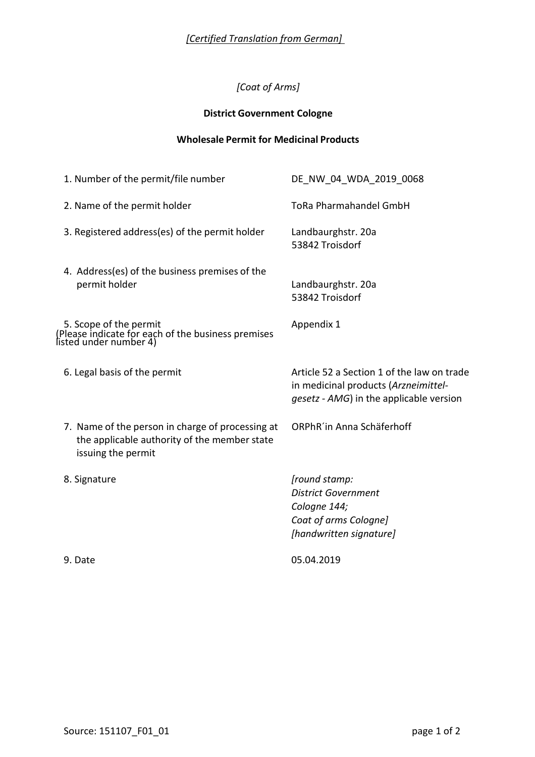## *[Coat of Arms]*

## **District Government Cologne**

### **Wholesale Permit for Medicinal Products**

| 1. Number of the permit/file number                                                                                    | DE NW 04 WDA 2019 0068                                                                                                        |
|------------------------------------------------------------------------------------------------------------------------|-------------------------------------------------------------------------------------------------------------------------------|
| 2. Name of the permit holder                                                                                           | <b>ToRa Pharmahandel GmbH</b>                                                                                                 |
| 3. Registered address(es) of the permit holder                                                                         | Landbaurghstr. 20a<br>53842 Troisdorf                                                                                         |
| 4. Address(es) of the business premises of the<br>permit holder                                                        | Landbaurghstr. 20a<br>53842 Troisdorf                                                                                         |
| 5. Scope of the permit<br>(Please indicate for each of the business premises<br>listed under number 4)                 | Appendix 1                                                                                                                    |
| 6. Legal basis of the permit                                                                                           | Article 52 a Section 1 of the law on trade<br>in medicinal products (Arzneimittel-<br>gesetz - AMG) in the applicable version |
| 7. Name of the person in charge of processing at<br>the applicable authority of the member state<br>issuing the permit | ORPhR'in Anna Schäferhoff                                                                                                     |
| 8. Signature                                                                                                           | [round stamp:<br><b>District Government</b><br>Cologne 144;<br>Coat of arms Cologne]<br>[handwritten signature]               |
| 9. Date                                                                                                                | 05.04.2019                                                                                                                    |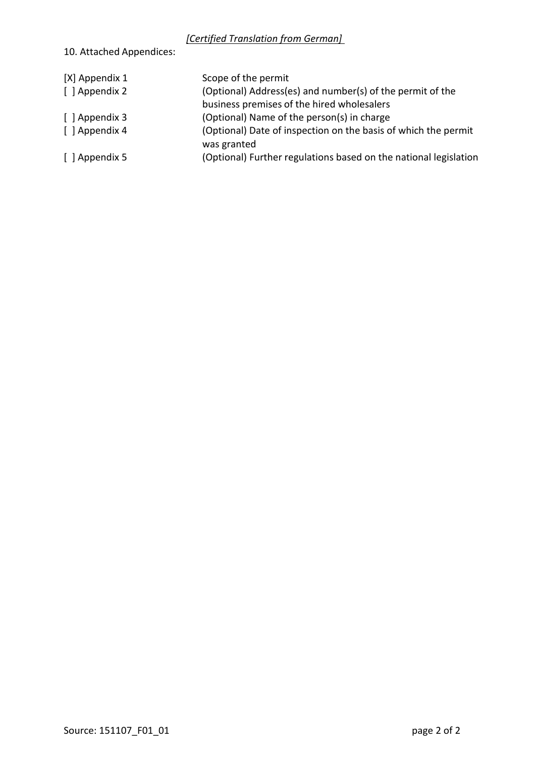# 10. Attached Appendices:

| [X] Appendix 1 | Scope of the permit                                                           |
|----------------|-------------------------------------------------------------------------------|
| [ ] Appendix 2 | (Optional) Address(es) and number(s) of the permit of the                     |
|                | business premises of the hired wholesalers                                    |
| [ ] Appendix 3 | (Optional) Name of the person(s) in charge                                    |
| [ ] Appendix 4 | (Optional) Date of inspection on the basis of which the permit<br>was granted |
| [ ] Appendix 5 | (Optional) Further regulations based on the national legislation              |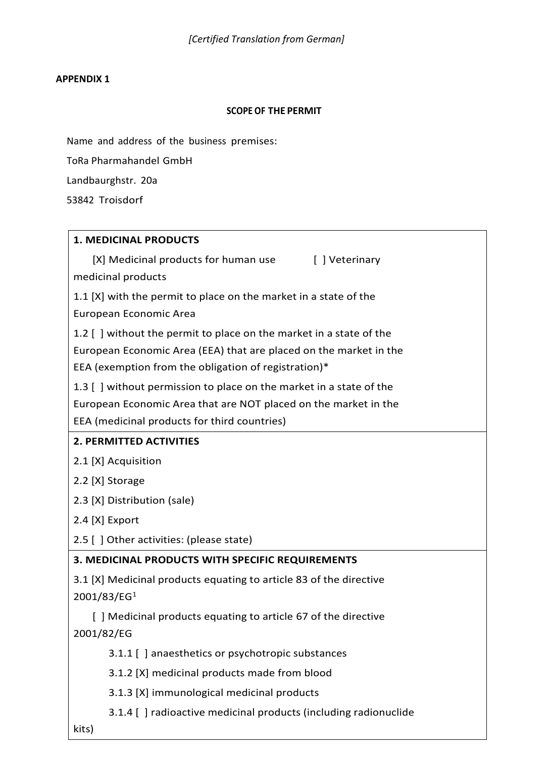#### **APPENDIX 1**

#### **SCOPE OF THE PERMIT**

Name and address of the business premises:

ToRa Pharmahandel GmbH

Landbaurghstr. 20a

53842 Troisdorf

### **1. MEDICINAL PRODUCTS**

[X] Medicinal products for human use [ ] Veterinary medicinal products

1.1 [X] with the permit to place on the market in a state of the European Economic Area

1.2 [ ] without the permit to place on the market in a state of the European Economic Area (EEA) that are placed on the market in the EEA (exemption from the obligation of registration)\*

1.3 [ ] without permission to place on the market in a state of the European Economic Area that are NOT placed on the market in the EEA (medicinal products for third countries)

### **2. PERMITTED ACTIVITIES**

2.1 [X] Acquisition

2.2 [X] Storage

2.3 [X] Distribution (sale)

2.4 [X] Export

2.5 [ ] Other activities: (please state)

## **3. MEDICINAL PRODUCTS WITH SPECIFIC REQUIREMENTS**

3.1 [X] Medicinal products equating to article 83 of the directive  $2001/83/EG<sup>1</sup>$ 

 [ ] Medicinal products equating to article 67 of the directive 2001/82/EG

3.1.1 [ ] anaesthetics or psychotropic substances

3.1.2 [X] medicinal products made from blood

3.1.3 [X] immunological medicinal products

3.1.4 [ ] radioactive medicinal products (including radionuclide

kits)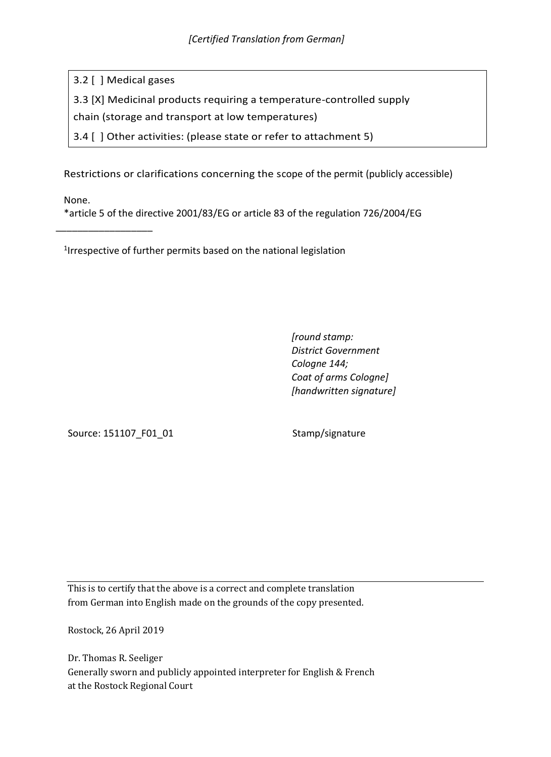3.2 [ ] Medical gases

3.3 [X] Medicinal products requiring a temperature-controlled supply

chain (storage and transport at low temperatures)

3.4 [ ] Other activities: (please state or refer to attachment 5)

Restrictions or clarifications concerning the scope of the permit (publicly accessible)

None.

\_\_\_\_\_\_\_\_\_\_\_\_\_\_\_\_\_\_

\*article 5 of the directive 2001/83/EG or article 83 of the regulation 726/2004/EG

1 Irrespective of further permits based on the national legislation

*[round stamp: District Government Cologne 144; Coat of arms Cologne] [handwritten signature]*

Source: 151107\_F01\_01 Stamp/signature

This is to certify that the above is a correct and complete translation from German into English made on the grounds of the copy presented.

Rostock, 26 April 2019

Dr. Thomas R. Seeliger Generally sworn and publicly appointed interpreter for English & French at the Rostock Regional Court